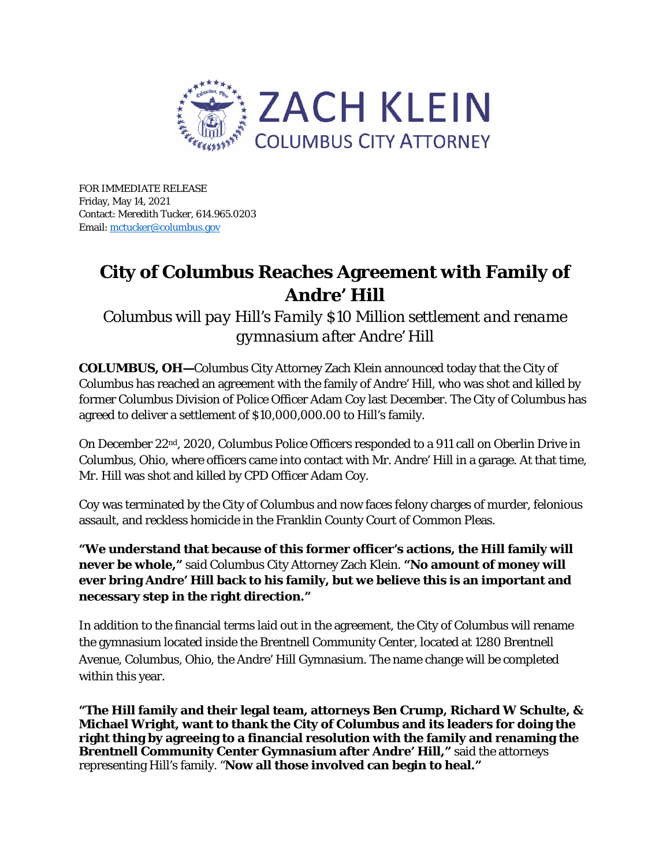

FOR IMMEDIATE RELEASE Friday, May 14, 2021 Contact: Meredith Tucker, 614.965.0203 Email[: mctucker@columbus.gov](mailto:mctucker@columbus.gov) 

## **City of Columbus Reaches Agreement with Family of Andre' Hill**

*Columbus will pay Hill's Family \$10 Million settlement and rename gymnasium after Andre' Hill*

**COLUMBUS, OH—**Columbus City Attorney Zach Klein announced today that the City of Columbus has reached an agreement with the family of Andre' Hill, who was shot and killed by former Columbus Division of Police Officer Adam Coy last December. The City of Columbus has agreed to deliver a settlement of \$10,000,000.00 to Hill's family.

On December 22nd, 2020, Columbus Police Officers responded to a 911 call on Oberlin Drive in Columbus, Ohio, where officers came into contact with Mr. Andre' Hill in a garage. At that time, Mr. Hill was shot and killed by CPD Officer Adam Coy.

Coy was terminated by the City of Columbus and now faces felony charges of murder, felonious assault, and reckless homicide in the Franklin County Court of Common Pleas.

**"We understand that because of this former officer's actions, the Hill family will never be whole,"** said Columbus City Attorney Zach Klein. **"No amount of money will ever bring Andre' Hill back to his family, but we believe this is an important and necessary step in the right direction."**

In addition to the financial terms laid out in the agreement, the City of Columbus will rename the gymnasium located inside the Brentnell Community Center, located at 1280 Brentnell Avenue, Columbus, Ohio, the Andre' Hill Gymnasium. The name change will be completed within this year.

**"The Hill family and their legal team, attorneys Ben Crump, Richard W Schulte, & Michael Wright, want to thank the City of Columbus and its leaders for doing the right thing by agreeing to a financial resolution with the family and renaming the Brentnell Community Center Gymnasium after Andre' Hill,"** said the attorneys representing Hill's family. "**Now all those involved can begin to heal."**